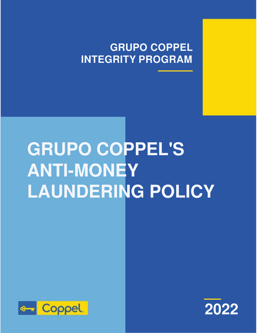# **GRUPO COPPEL INTEGRITY PROGRAM**

# **GRUPO COPPEL'S ANTI-MONEY LAUNDERING POLICY**